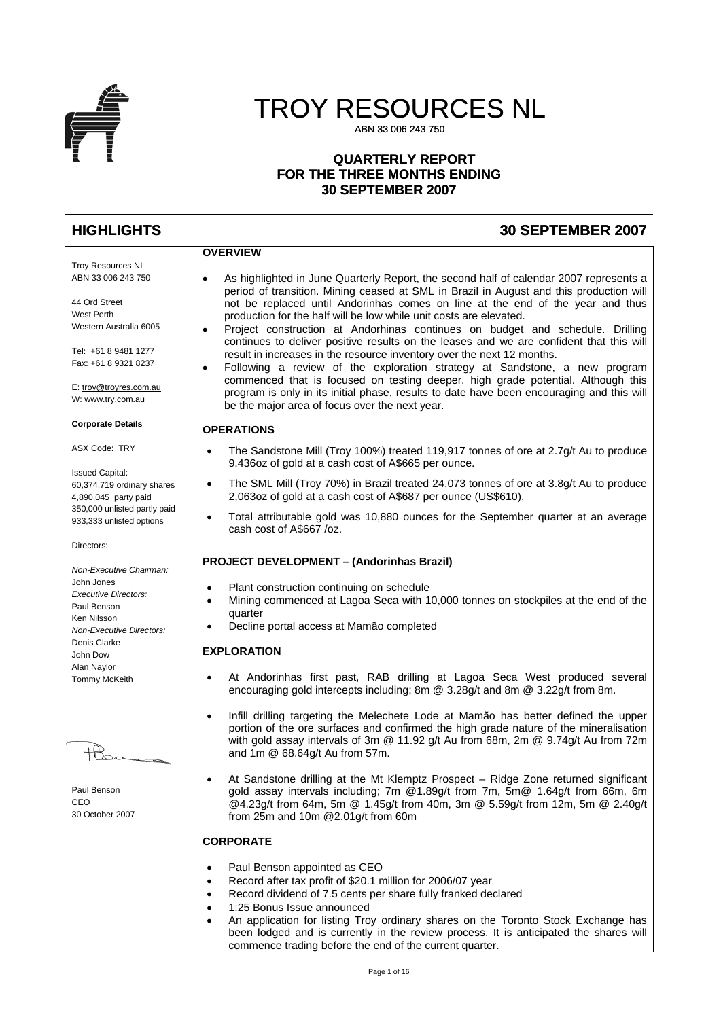

# TROY RESOURCES NL

ABN 33 006 243 750

#### **QUARTERLY REPORT FOR THE THREE MONTHS ENDING 30 SEPTEMBER 2007**

# **HIGHLIGHTS 30 SEPTEMBER 2007**

# **OVERVIEW**

- As highlighted in June Quarterly Report, the second half of calendar 2007 represents a period of transition. Mining ceased at SML in Brazil in August and this production will not be replaced until Andorinhas comes on line at the end of the year and thus production for the half will be low while unit costs are elevated.
- Project construction at Andorhinas continues on budget and schedule. Drilling continues to deliver positive results on the leases and we are confident that this will result in increases in the resource inventory over the next 12 months.
- Following a review of the exploration strategy at Sandstone, a new program commenced that is focused on testing deeper, high grade potential. Although this program is only in its initial phase, results to date have been encouraging and this will be the major area of focus over the next year.

#### **OPERATIONS**

- The Sandstone Mill (Troy 100%) treated 119,917 tonnes of ore at 2.7g/t Au to produce 9,436oz of gold at a cash cost of A\$665 per ounce.
- The SML Mill (Troy 70%) in Brazil treated 24,073 tonnes of ore at 3.8g/t Au to produce 2,063oz of gold at a cash cost of A\$687 per ounce (US\$610).
- Total attributable gold was 10,880 ounces for the September quarter at an average cash cost of A\$667 /oz.

#### **PROJECT DEVELOPMENT – (Andorinhas Brazil)**

- Plant construction continuing on schedule
- Mining commenced at Lagoa Seca with 10,000 tonnes on stockpiles at the end of the quarter
- Decline portal access at Mamão completed

#### **EXPLORATION**

- At Andorinhas first past, RAB drilling at Lagoa Seca West produced several encouraging gold intercepts including; 8m @ 3.28g/t and 8m @ 3.22g/t from 8m.
- Infill drilling targeting the Melechete Lode at Mamão has better defined the upper portion of the ore surfaces and confirmed the high grade nature of the mineralisation with gold assay intervals of 3m @ 11.92 g/t Au from 68m, 2m @ 9.74g/t Au from 72m and 1m @ 68.64g/t Au from 57m.
- At Sandstone drilling at the Mt Klemptz Prospect Ridge Zone returned significant gold assay intervals including; 7m @1.89g/t from 7m, 5m@ 1.64g/t from 66m, 6m @4.23g/t from 64m, 5m @ 1.45g/t from 40m, 3m @ 5.59g/t from 12m, 5m @ 2.40g/t from 25m and 10m @2.01g/t from 60m

#### **CORPORATE**

- Paul Benson appointed as CEO
- Record after tax profit of \$20.1 million for 2006/07 year
- Record dividend of 7.5 cents per share fully franked declared
- 1:25 Bonus Issue announced
- An application for listing Troy ordinary shares on the Toronto Stock Exchange has been lodged and is currently in the review process. It is anticipated the shares will commence trading before the end of the current quarter.

Troy Resources NL ABN 33 006 243 750 44 Ord Street

West Perth Western Australia 6005

Tel: +61 8 9481 1277 Fax: +61 8 9321 8237

E: [troy@troyres.com.au](mailto:troy@troyres.com.au) W: [www.try.com.au](http://www.try.com.au/)

#### **Corporate Details**

ASX Code: TRY

Issued Capital: 60,374,719 ordinary shares 4,890,045 party paid 350,000 unlisted partly paid 933,333 unlisted options

Directors:

*Non-Executive Chairman:*  John Jones *Executive Directors:*  Paul Benson Ken Nilsson *Non-Executive Directors:*  Denis Clarke John Dow Alan Naylor Tommy McKeith

Paul Benson CEO 30 October 2007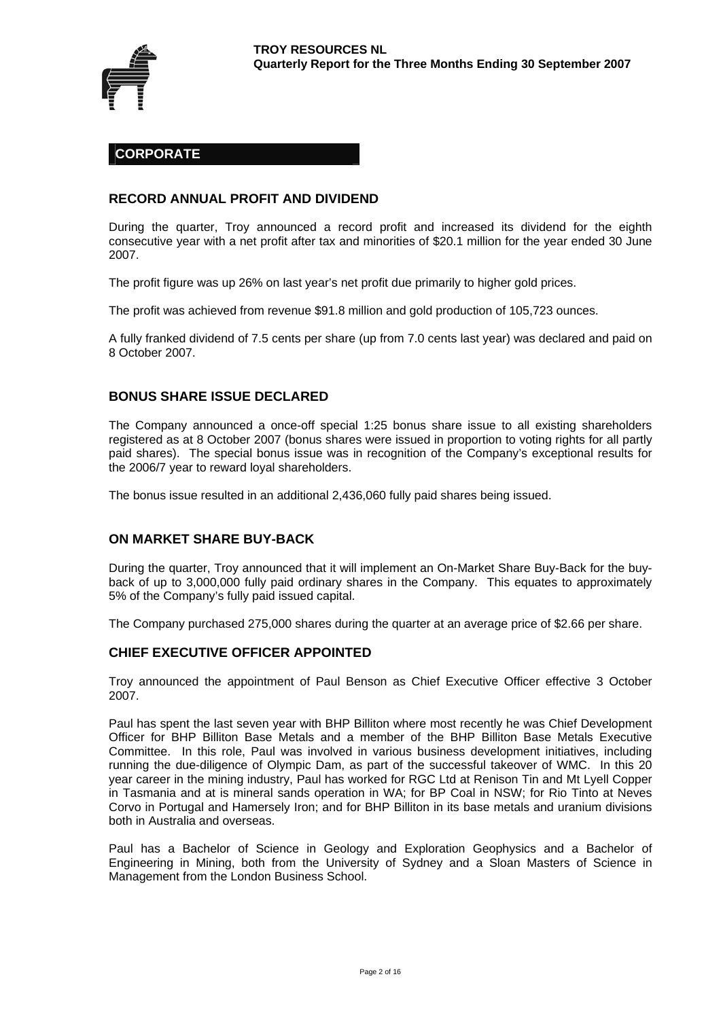

# **CORPORATE**

#### **RECORD ANNUAL PROFIT AND DIVIDEND**

During the quarter, Troy announced a record profit and increased its dividend for the eighth consecutive year with a net profit after tax and minorities of \$20.1 million for the year ended 30 June 2007.

The profit figure was up 26% on last year's net profit due primarily to higher gold prices.

The profit was achieved from revenue \$91.8 million and gold production of 105,723 ounces.

A fully franked dividend of 7.5 cents per share (up from 7.0 cents last year) was declared and paid on 8 October 2007.

# **BONUS SHARE ISSUE DECLARED**

The Company announced a once-off special 1:25 bonus share issue to all existing shareholders registered as at 8 October 2007 (bonus shares were issued in proportion to voting rights for all partly paid shares). The special bonus issue was in recognition of the Company's exceptional results for the 2006/7 year to reward loyal shareholders.

The bonus issue resulted in an additional 2,436,060 fully paid shares being issued.

#### **ON MARKET SHARE BUY-BACK**

During the quarter, Troy announced that it will implement an On-Market Share Buy-Back for the buyback of up to 3,000,000 fully paid ordinary shares in the Company. This equates to approximately 5% of the Company's fully paid issued capital.

The Company purchased 275,000 shares during the quarter at an average price of \$2.66 per share.

#### **CHIEF EXECUTIVE OFFICER APPOINTED**

Troy announced the appointment of Paul Benson as Chief Executive Officer effective 3 October 2007.

Paul has spent the last seven year with BHP Billiton where most recently he was Chief Development Officer for BHP Billiton Base Metals and a member of the BHP Billiton Base Metals Executive Committee. In this role, Paul was involved in various business development initiatives, including running the due-diligence of Olympic Dam, as part of the successful takeover of WMC. In this 20 year career in the mining industry, Paul has worked for RGC Ltd at Renison Tin and Mt Lyell Copper in Tasmania and at is mineral sands operation in WA; for BP Coal in NSW; for Rio Tinto at Neves Corvo in Portugal and Hamersely Iron; and for BHP Billiton in its base metals and uranium divisions both in Australia and overseas.

Paul has a Bachelor of Science in Geology and Exploration Geophysics and a Bachelor of Engineering in Mining, both from the University of Sydney and a Sloan Masters of Science in Management from the London Business School.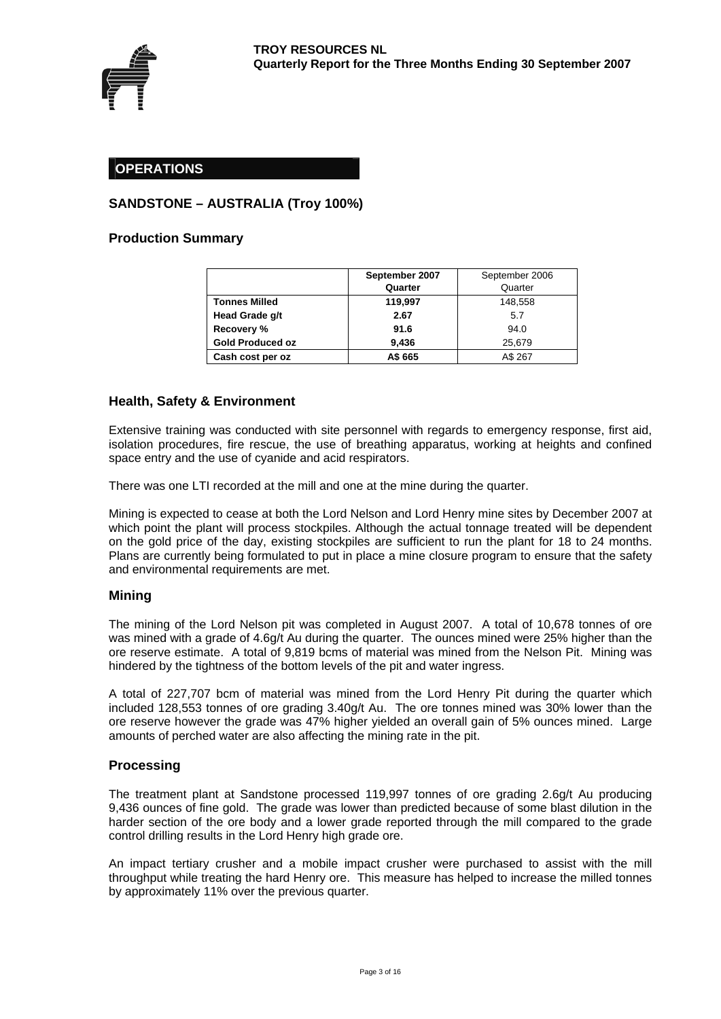

# **OPERATIONS**

# **SANDSTONE – AUSTRALIA (Troy 100%)**

#### **Production Summary**

|                         | September 2007 | September 2006 |
|-------------------------|----------------|----------------|
|                         | Quarter        | Quarter        |
| <b>Tonnes Milled</b>    | 119,997        | 148,558        |
| Head Grade g/t          | 2.67           | 5.7            |
| <b>Recovery %</b>       | 91.6           | 94.0           |
| <b>Gold Produced oz</b> | 9.436          | 25,679         |
| Cash cost per oz        | A\$ 665        | A\$ 267        |

#### **Health, Safety & Environment**

Extensive training was conducted with site personnel with regards to emergency response, first aid, isolation procedures, fire rescue, the use of breathing apparatus, working at heights and confined space entry and the use of cyanide and acid respirators.

There was one LTI recorded at the mill and one at the mine during the quarter.

Mining is expected to cease at both the Lord Nelson and Lord Henry mine sites by December 2007 at which point the plant will process stockpiles. Although the actual tonnage treated will be dependent on the gold price of the day, existing stockpiles are sufficient to run the plant for 18 to 24 months. Plans are currently being formulated to put in place a mine closure program to ensure that the safety and environmental requirements are met.

#### **Mining**

The mining of the Lord Nelson pit was completed in August 2007. A total of 10,678 tonnes of ore was mined with a grade of 4.6g/t Au during the quarter. The ounces mined were 25% higher than the ore reserve estimate. A total of 9,819 bcms of material was mined from the Nelson Pit. Mining was hindered by the tightness of the bottom levels of the pit and water ingress.

A total of 227,707 bcm of material was mined from the Lord Henry Pit during the quarter which included 128,553 tonnes of ore grading 3.40g/t Au. The ore tonnes mined was 30% lower than the ore reserve however the grade was 47% higher yielded an overall gain of 5% ounces mined. Large amounts of perched water are also affecting the mining rate in the pit.

#### **Processing**

The treatment plant at Sandstone processed 119,997 tonnes of ore grading 2.6g/t Au producing 9,436 ounces of fine gold. The grade was lower than predicted because of some blast dilution in the harder section of the ore body and a lower grade reported through the mill compared to the grade control drilling results in the Lord Henry high grade ore.

An impact tertiary crusher and a mobile impact crusher were purchased to assist with the mill throughput while treating the hard Henry ore. This measure has helped to increase the milled tonnes by approximately 11% over the previous quarter.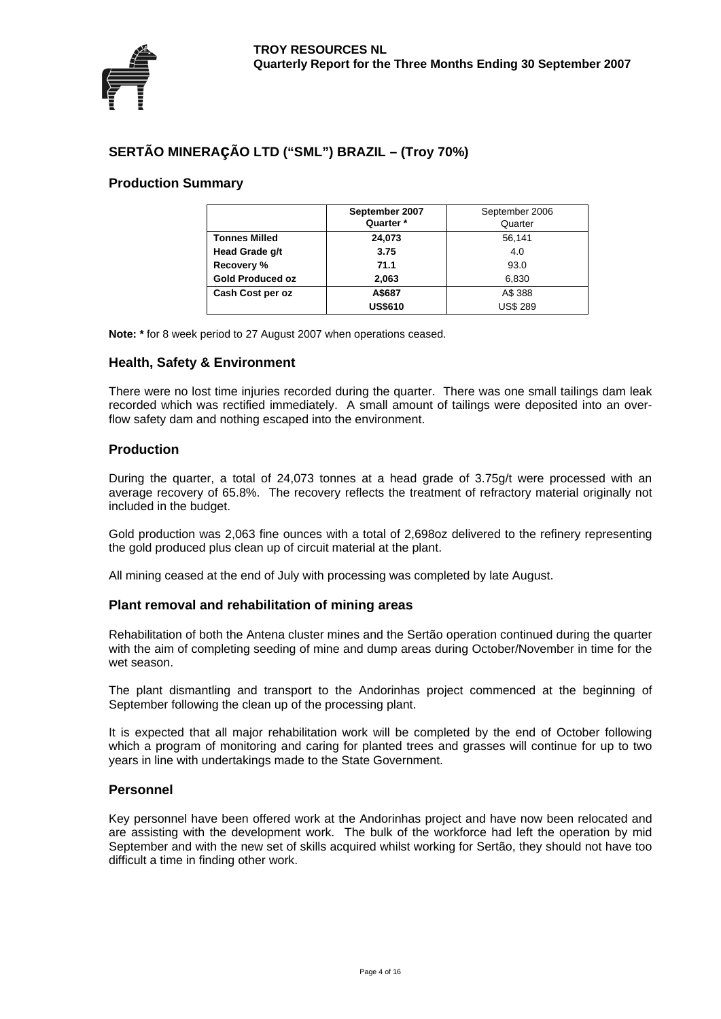

# **SERTÃO MINERAçÃO LTD ("SML") BRAZIL – (Troy 70%)**

# **Production Summary**

|                         | September 2007 | September 2006  |
|-------------------------|----------------|-----------------|
|                         | Quarter *      | Quarter         |
| <b>Tonnes Milled</b>    | 24,073         | 56,141          |
| Head Grade g/t          | 3.75           | 4.0             |
| Recovery %              | 71.1           | 93.0            |
| <b>Gold Produced oz</b> | 2,063          | 6,830           |
| Cash Cost per oz        | A\$687         | A\$ 388         |
|                         | <b>US\$610</b> | <b>US\$ 289</b> |

**Note: \*** for 8 week period to 27 August 2007 when operations ceased.

#### **Health, Safety & Environment**

There were no lost time injuries recorded during the quarter. There was one small tailings dam leak recorded which was rectified immediately. A small amount of tailings were deposited into an overflow safety dam and nothing escaped into the environment.

#### **Production**

During the quarter, a total of 24,073 tonnes at a head grade of 3.75g/t were processed with an average recovery of 65.8%. The recovery reflects the treatment of refractory material originally not included in the budget.

Gold production was 2,063 fine ounces with a total of 2,698oz delivered to the refinery representing the gold produced plus clean up of circuit material at the plant.

All mining ceased at the end of July with processing was completed by late August.

#### **Plant removal and rehabilitation of mining areas**

Rehabilitation of both the Antena cluster mines and the Sertão operation continued during the quarter with the aim of completing seeding of mine and dump areas during October/November in time for the wet season.

The plant dismantling and transport to the Andorinhas project commenced at the beginning of September following the clean up of the processing plant.

It is expected that all major rehabilitation work will be completed by the end of October following which a program of monitoring and caring for planted trees and grasses will continue for up to two years in line with undertakings made to the State Government.

#### **Personnel**

Key personnel have been offered work at the Andorinhas project and have now been relocated and are assisting with the development work. The bulk of the workforce had left the operation by mid September and with the new set of skills acquired whilst working for Sertão, they should not have too difficult a time in finding other work.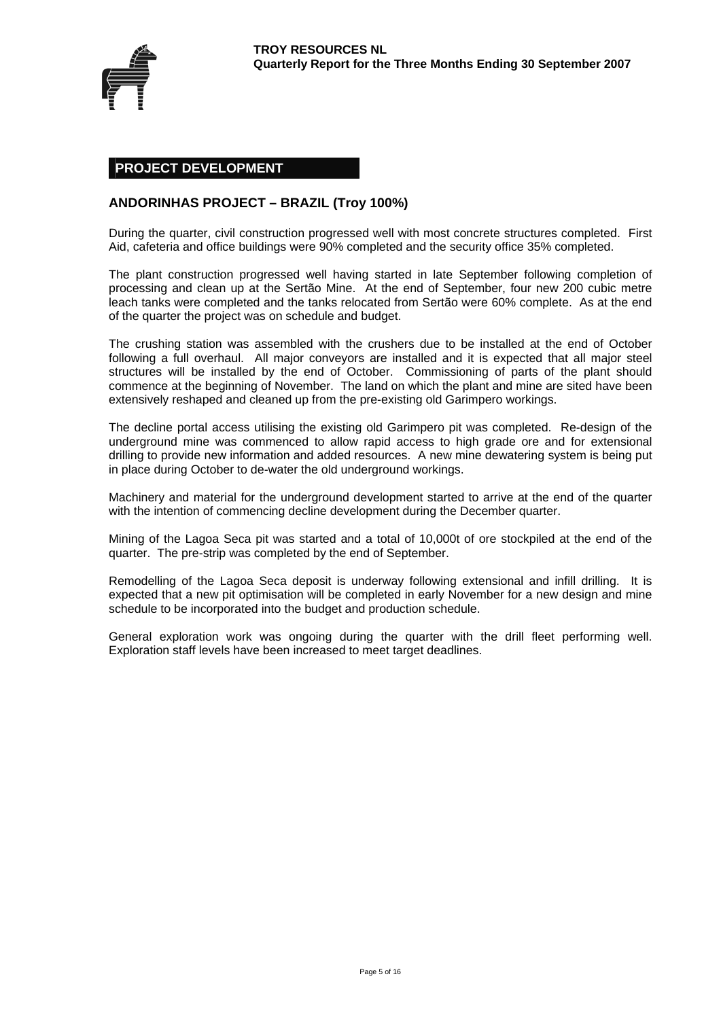

# **PROJECT DEVELOPMENT**

# **ANDORINHAS PROJECT – BRAZIL (Troy 100%)**

During the quarter, civil construction progressed well with most concrete structures completed. First Aid, cafeteria and office buildings were 90% completed and the security office 35% completed.

The plant construction progressed well having started in late September following completion of processing and clean up at the Sertão Mine. At the end of September, four new 200 cubic metre leach tanks were completed and the tanks relocated from Sertão were 60% complete. As at the end of the quarter the project was on schedule and budget.

The crushing station was assembled with the crushers due to be installed at the end of October following a full overhaul. All major conveyors are installed and it is expected that all major steel structures will be installed by the end of October. Commissioning of parts of the plant should commence at the beginning of November. The land on which the plant and mine are sited have been extensively reshaped and cleaned up from the pre-existing old Garimpero workings.

The decline portal access utilising the existing old Garimpero pit was completed. Re-design of the underground mine was commenced to allow rapid access to high grade ore and for extensional drilling to provide new information and added resources. A new mine dewatering system is being put in place during October to de-water the old underground workings.

Machinery and material for the underground development started to arrive at the end of the quarter with the intention of commencing decline development during the December quarter.

Mining of the Lagoa Seca pit was started and a total of 10,000t of ore stockpiled at the end of the quarter. The pre-strip was completed by the end of September.

Remodelling of the Lagoa Seca deposit is underway following extensional and infill drilling. It is expected that a new pit optimisation will be completed in early November for a new design and mine schedule to be incorporated into the budget and production schedule.

General exploration work was ongoing during the quarter with the drill fleet performing well. Exploration staff levels have been increased to meet target deadlines.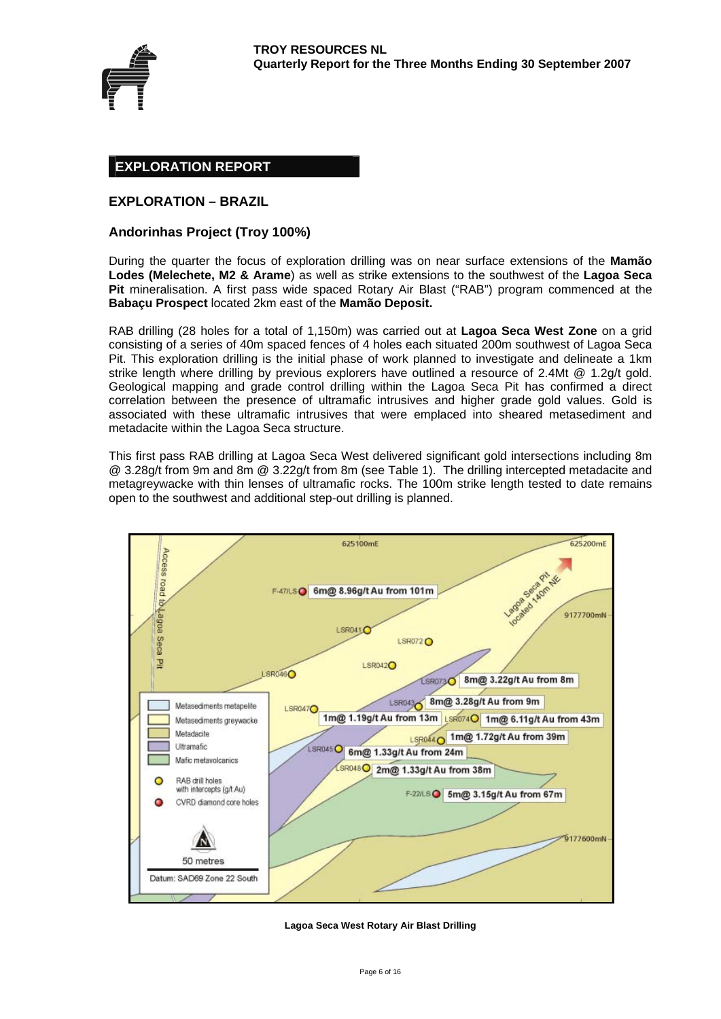

# **EXPLORATION REPORT**

# **EXPLORATION – BRAZIL**

#### **Andorinhas Project (Troy 100%)**

During the quarter the focus of exploration drilling was on near surface extensions of the **Mamão Lodes (Melechete, M2 & Arame**) as well as strike extensions to the southwest of the **Lagoa Seca Pit** mineralisation. A first pass wide spaced Rotary Air Blast ("RAB") program commenced at the **Babaçu Prospect** located 2km east of the **Mamão Deposit.**

RAB drilling (28 holes for a total of 1,150m) was carried out at **Lagoa Seca West Zone** on a grid consisting of a series of 40m spaced fences of 4 holes each situated 200m southwest of Lagoa Seca Pit. This exploration drilling is the initial phase of work planned to investigate and delineate a 1km strike length where drilling by previous explorers have outlined a resource of 2.4Mt @ 1.2g/t gold. Geological mapping and grade control drilling within the Lagoa Seca Pit has confirmed a direct correlation between the presence of ultramafic intrusives and higher grade gold values. Gold is associated with these ultramafic intrusives that were emplaced into sheared metasediment and metadacite within the Lagoa Seca structure.

This first pass RAB drilling at Lagoa Seca West delivered significant gold intersections including 8m @ 3.28g/t from 9m and 8m @ 3.22g/t from 8m (see Table 1). The drilling intercepted metadacite and metagreywacke with thin lenses of ultramafic rocks. The 100m strike length tested to date remains open to the southwest and additional step-out drilling is planned.



#### **Lagoa Seca West Rotary Air Blast Drilling**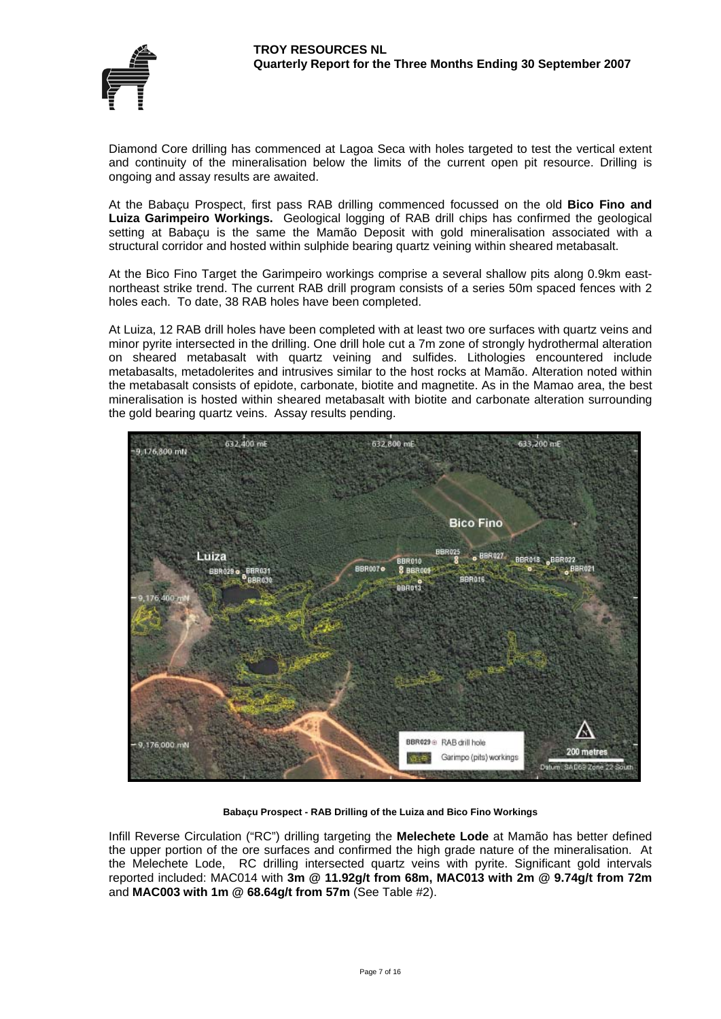

Diamond Core drilling has commenced at Lagoa Seca with holes targeted to test the vertical extent and continuity of the mineralisation below the limits of the current open pit resource. Drilling is ongoing and assay results are awaited.

At the Babaçu Prospect, first pass RAB drilling commenced focussed on the old **Bico Fino and Luiza Garimpeiro Workings.** Geological logging of RAB drill chips has confirmed the geological setting at Babaçu is the same the Mamão Deposit with gold mineralisation associated with a structural corridor and hosted within sulphide bearing quartz veining within sheared metabasalt.

At the Bico Fino Target the Garimpeiro workings comprise a several shallow pits along 0.9km eastnortheast strike trend. The current RAB drill program consists of a series 50m spaced fences with 2 holes each. To date, 38 RAB holes have been completed.

At Luiza, 12 RAB drill holes have been completed with at least two ore surfaces with quartz veins and minor pyrite intersected in the drilling. One drill hole cut a 7m zone of strongly hydrothermal alteration on sheared metabasalt with quartz veining and sulfides. Lithologies encountered include metabasalts, metadolerites and intrusives similar to the host rocks at Mamão. Alteration noted within the metabasalt consists of epidote, carbonate, biotite and magnetite. As in the Mamao area, the best mineralisation is hosted within sheared metabasalt with biotite and carbonate alteration surrounding the gold bearing quartz veins. Assay results pending.



**Babaçu Prospect - RAB Drilling of the Luiza and Bico Fino Workings** 

Infill Reverse Circulation ("RC") drilling targeting the **Melechete Lode** at Mamão has better defined the upper portion of the ore surfaces and confirmed the high grade nature of the mineralisation. At the Melechete Lode, RC drilling intersected quartz veins with pyrite. Significant gold intervals reported included: MAC014 with **3m @ 11.92g/t from 68m, MAC013 with 2m @ 9.74g/t from 72m**  and **MAC003 with 1m @ 68.64g/t from 57m** (See Table #2).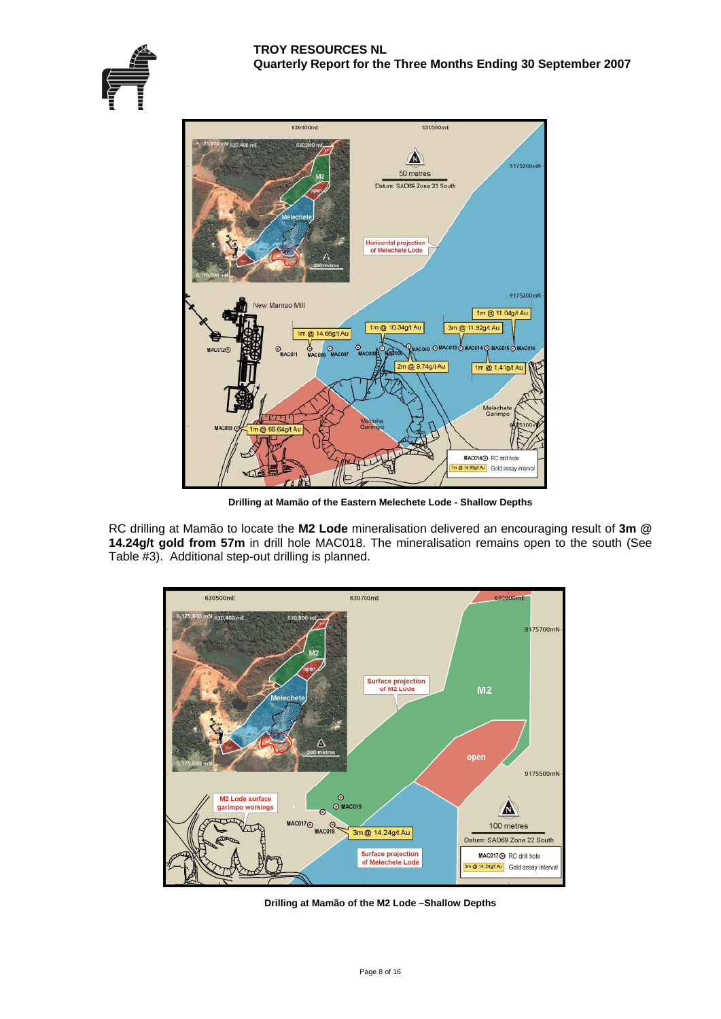



**Drilling at Mamão of the Eastern Melechete Lode - Shallow Depths** 

RC drilling at Mamão to locate the **M2 Lode** mineralisation delivered an encouraging result of **3m @ 14.24g/t gold from 57m** in drill hole MAC018. The mineralisation remains open to the south (See Table #3). Additional step-out drilling is planned.



**Drilling at Mamão of the M2 Lode –Shallow Depths**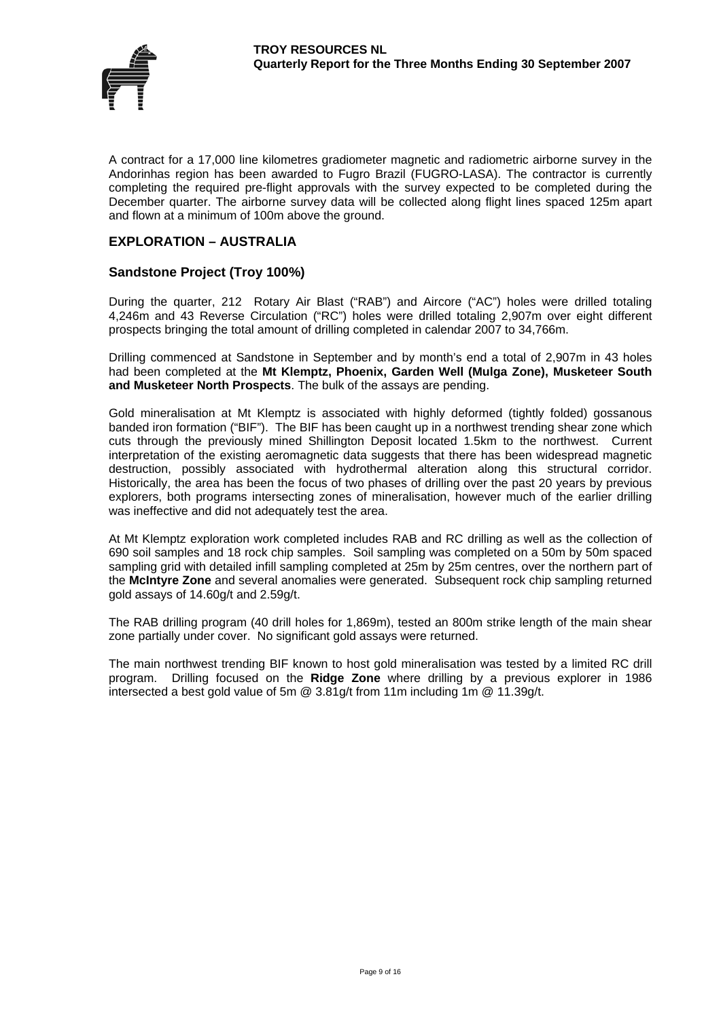

A contract for a 17,000 line kilometres gradiometer magnetic and radiometric airborne survey in the Andorinhas region has been awarded to Fugro Brazil (FUGRO-LASA). The contractor is currently completing the required pre-flight approvals with the survey expected to be completed during the December quarter. The airborne survey data will be collected along flight lines spaced 125m apart and flown at a minimum of 100m above the ground.

# **EXPLORATION – AUSTRALIA**

# **Sandstone Project (Troy 100%)**

During the quarter, 212 Rotary Air Blast ("RAB") and Aircore ("AC") holes were drilled totaling 4,246m and 43 Reverse Circulation ("RC") holes were drilled totaling 2,907m over eight different prospects bringing the total amount of drilling completed in calendar 2007 to 34,766m.

Drilling commenced at Sandstone in September and by month's end a total of 2,907m in 43 holes had been completed at the **Mt Klemptz, Phoenix, Garden Well (Mulga Zone), Musketeer South and Musketeer North Prospects**. The bulk of the assays are pending.

Gold mineralisation at Mt Klemptz is associated with highly deformed (tightly folded) gossanous banded iron formation ("BIF"). The BIF has been caught up in a northwest trending shear zone which cuts through the previously mined Shillington Deposit located 1.5km to the northwest. Current interpretation of the existing aeromagnetic data suggests that there has been widespread magnetic destruction, possibly associated with hydrothermal alteration along this structural corridor. Historically, the area has been the focus of two phases of drilling over the past 20 years by previous explorers, both programs intersecting zones of mineralisation, however much of the earlier drilling was ineffective and did not adequately test the area.

At Mt Klemptz exploration work completed includes RAB and RC drilling as well as the collection of 690 soil samples and 18 rock chip samples. Soil sampling was completed on a 50m by 50m spaced sampling grid with detailed infill sampling completed at 25m by 25m centres, over the northern part of the **McIntyre Zone** and several anomalies were generated. Subsequent rock chip sampling returned gold assays of 14.60g/t and 2.59g/t.

The RAB drilling program (40 drill holes for 1,869m), tested an 800m strike length of the main shear zone partially under cover. No significant gold assays were returned.

The main northwest trending BIF known to host gold mineralisation was tested by a limited RC drill program. Drilling focused on the **Ridge Zone** where drilling by a previous explorer in 1986 intersected a best gold value of 5m @ 3.81g/t from 11m including 1m @ 11.39g/t.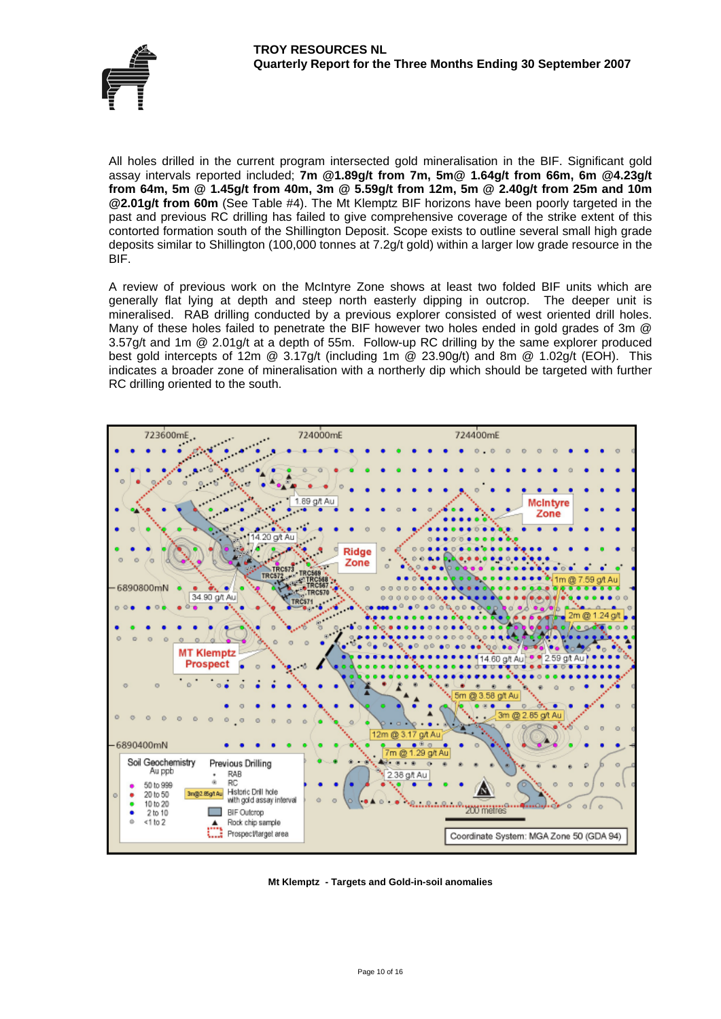All holes drilled in the current program intersected gold mineralisation in the BIF. Significant gold assay intervals reported included; **7m @1.89g/t from 7m, 5m@ 1.64g/t from 66m, 6m @4.23g/t from 64m, 5m @ 1.45g/t from 40m, 3m @ 5.59g/t from 12m, 5m @ 2.40g/t from 25m and 10m @2.01g/t from 60m** (See Table #4). The Mt Klemptz BIF horizons have been poorly targeted in the past and previous RC drilling has failed to give comprehensive coverage of the strike extent of this contorted formation south of the Shillington Deposit. Scope exists to outline several small high grade deposits similar to Shillington (100,000 tonnes at 7.2g/t gold) within a larger low grade resource in the BIF.

A review of previous work on the McIntyre Zone shows at least two folded BIF units which are generally flat lying at depth and steep north easterly dipping in outcrop. The deeper unit is mineralised. RAB drilling conducted by a previous explorer consisted of west oriented drill holes. Many of these holes failed to penetrate the BIF however two holes ended in gold grades of 3m @ 3.57g/t and 1m @ 2.01g/t at a depth of 55m. Follow-up RC drilling by the same explorer produced best gold intercepts of 12m @ 3.17g/t (including 1m @ 23.90g/t) and 8m @ 1.02g/t (EOH). This indicates a broader zone of mineralisation with a northerly dip which should be targeted with further RC drilling oriented to the south.



**Mt Klemptz - Targets and Gold-in-soil anomalies**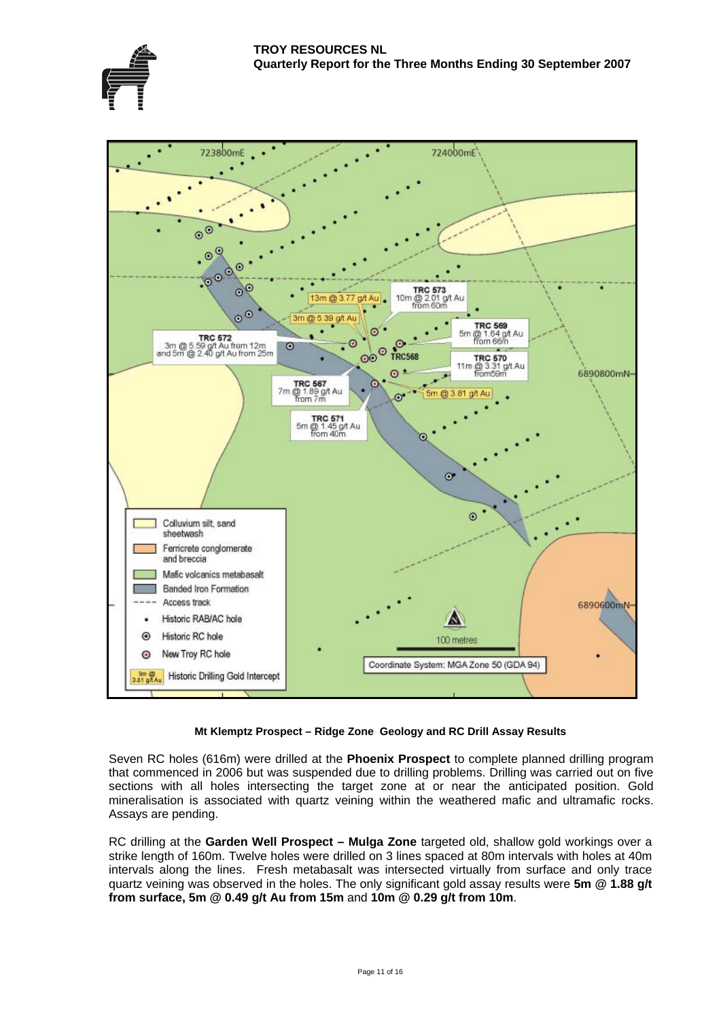



#### **Mt Klemptz Prospect – Ridge Zone Geology and RC Drill Assay Results**

mineralisation is associated with quartz veining within the weathered mafic and ultramafic rocks. Assays are pending. Seven RC holes (616m) were drilled at the **Phoenix Prospect** to complete planned drilling program that commenced in 2006 but was suspended due to drilling problems. Drilling was carried out on five sections with all holes intersecting the target zone at or near the anticipated position. Gold

quartz veining was observed in the holes. The only significant gold assay results were 5m @ 1.88 g/t **om surface, 5m @ 0.49 g/t Au from 15m** and **10m @ 0.29 g/t from 10m**. **fr**RC drilling at the **Garden Well Prospect – Mulga Zone** targeted old, shallow gold workings over a strike length of 160m. Twelve holes were drilled on 3 lines spaced at 80m intervals with holes at 40m intervals along the lines. Fresh metabasalt was intersected virtually from surface and only trace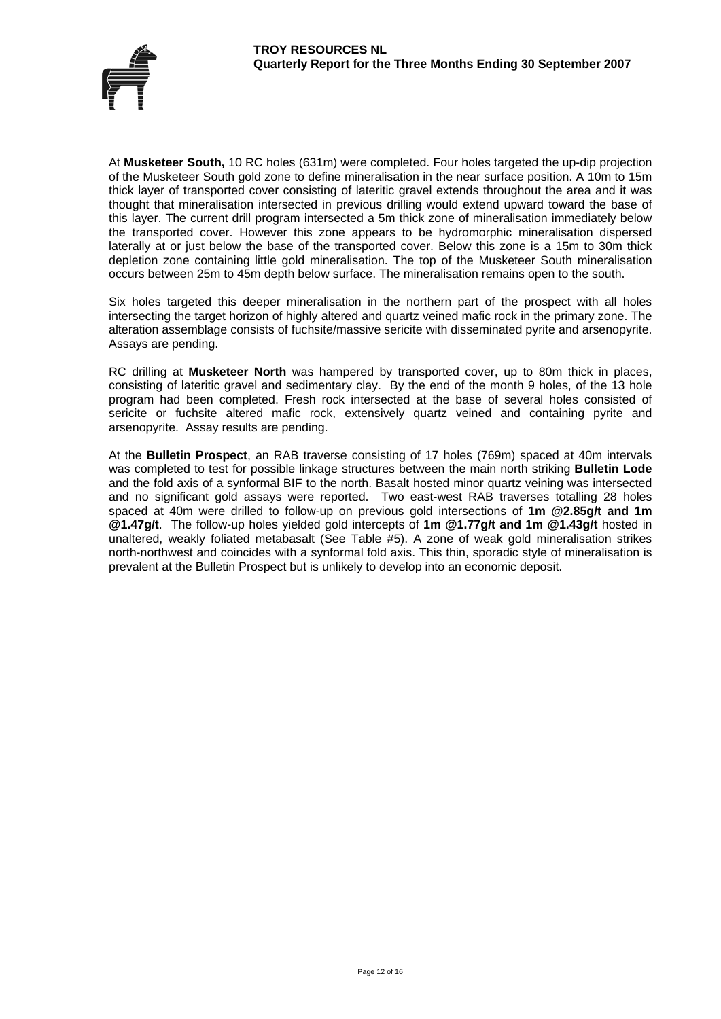

At **Musketeer South,** 10 RC holes (631m) were completed. Four holes targeted the up-dip projection of the Musketeer South gold zone to define mineralisation in the near surface position. A 10m to 15m thick layer of transported cover consisting of lateritic gravel extends throughout the area and it was thought that mineralisation intersected in previous drilling would extend upward toward the base of this layer. The current drill program intersected a 5m thick zone of mineralisation immediately below the transported cover. However this zone appears to be hydromorphic mineralisation dispersed laterally at or just below the base of the transported cover. Below this zone is a 15m to 30m thick depletion zone containing little gold mineralisation. The top of the Musketeer South mineralisation occurs between 25m to 45m depth below surface. The mineralisation remains open to the south.

Six holes targeted this deeper mineralisation in the northern part of the prospect with all holes intersecting the target horizon of highly altered and quartz veined mafic rock in the primary zone. The alteration assemblage consists of fuchsite/massive sericite with disseminated pyrite and arsenopyrite. Assays are pending.

RC drilling at **Musketeer North** was hampered by transported cover, up to 80m thick in places, consisting of lateritic gravel and sedimentary clay. By the end of the month 9 holes, of the 13 hole program had been completed. Fresh rock intersected at the base of several holes consisted of sericite or fuchsite altered mafic rock, extensively quartz veined and containing pyrite and arsenopyrite. Assay results are pending.

At the **Bulletin Prospect**, an RAB traverse consisting of 17 holes (769m) spaced at 40m intervals was completed to test for possible linkage structures between the main north striking **Bulletin Lode**  and the fold axis of a synformal BIF to the north. Basalt hosted minor quartz veining was intersected and no significant gold assays were reported. Two east-west RAB traverses totalling 28 holes spaced at 40m were drilled to follow-up on previous gold intersections of **1m @2.85g/t and 1m @1.47g/t**. The follow-up holes yielded gold intercepts of **1m @1.77g/t and 1m @1.43g/t** hosted in unaltered, weakly foliated metabasalt (See Table #5). A zone of weak gold mineralisation strikes north-northwest and coincides with a synformal fold axis. This thin, sporadic style of mineralisation is prevalent at the Bulletin Prospect but is unlikely to develop into an economic deposit.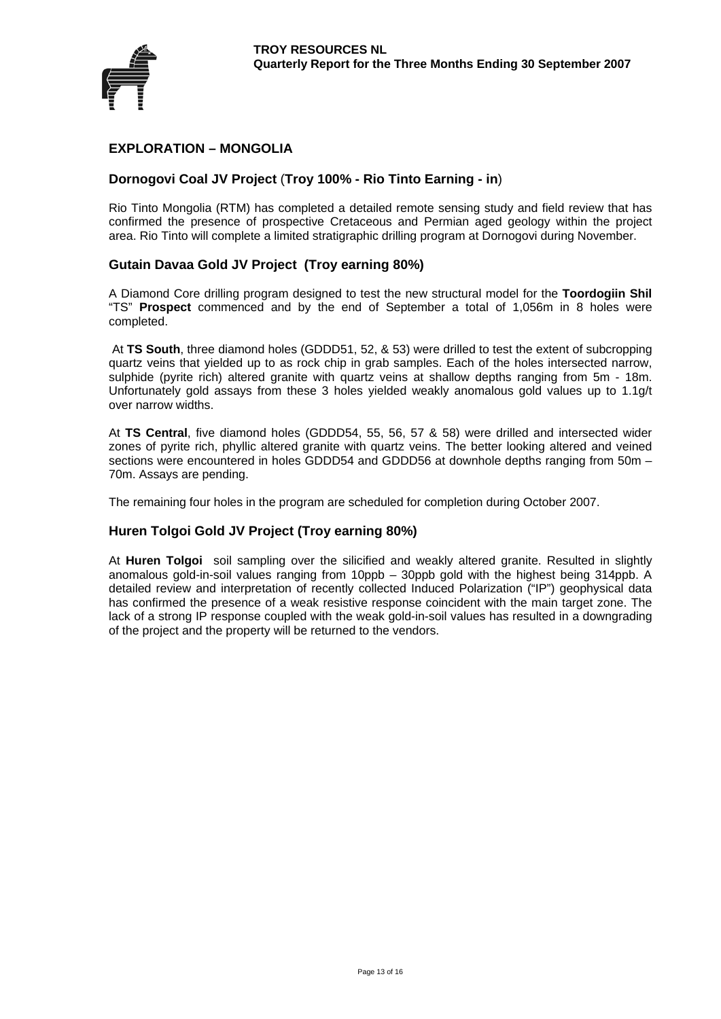

# **EXPLORATION – MONGOLIA**

# **Dornogovi Coal JV Project** (**Troy 100% - Rio Tinto Earning - in**)

Rio Tinto Mongolia (RTM) has completed a detailed remote sensing study and field review that has confirmed the presence of prospective Cretaceous and Permian aged geology within the project area. Rio Tinto will complete a limited stratigraphic drilling program at Dornogovi during November.

# **Gutain Davaa Gold JV Project (Troy earning 80%)**

A Diamond Core drilling program designed to test the new structural model for the **Toordogiin Shil** "TS" **Prospect** commenced and by the end of September a total of 1,056m in 8 holes were completed.

 At **TS South**, three diamond holes (GDDD51, 52, & 53) were drilled to test the extent of subcropping quartz veins that yielded up to as rock chip in grab samples. Each of the holes intersected narrow, sulphide (pyrite rich) altered granite with quartz veins at shallow depths ranging from 5m - 18m. Unfortunately gold assays from these 3 holes yielded weakly anomalous gold values up to 1.1g/t over narrow widths.

At **TS Central**, five diamond holes (GDDD54, 55, 56, 57 & 58) were drilled and intersected wider zones of pyrite rich, phyllic altered granite with quartz veins. The better looking altered and veined sections were encountered in holes GDDD54 and GDDD56 at downhole depths ranging from 50m – 70m. Assays are pending.

The remaining four holes in the program are scheduled for completion during October 2007.

# **Huren Tolgoi Gold JV Project (Troy earning 80%)**

At **Huren Tolgoi** soil sampling over the silicified and weakly altered granite. Resulted in slightly anomalous gold-in-soil values ranging from 10ppb – 30ppb gold with the highest being 314ppb. A detailed review and interpretation of recently collected Induced Polarization ("IP") geophysical data has confirmed the presence of a weak resistive response coincident with the main target zone. The lack of a strong IP response coupled with the weak gold-in-soil values has resulted in a downgrading of the project and the property will be returned to the vendors.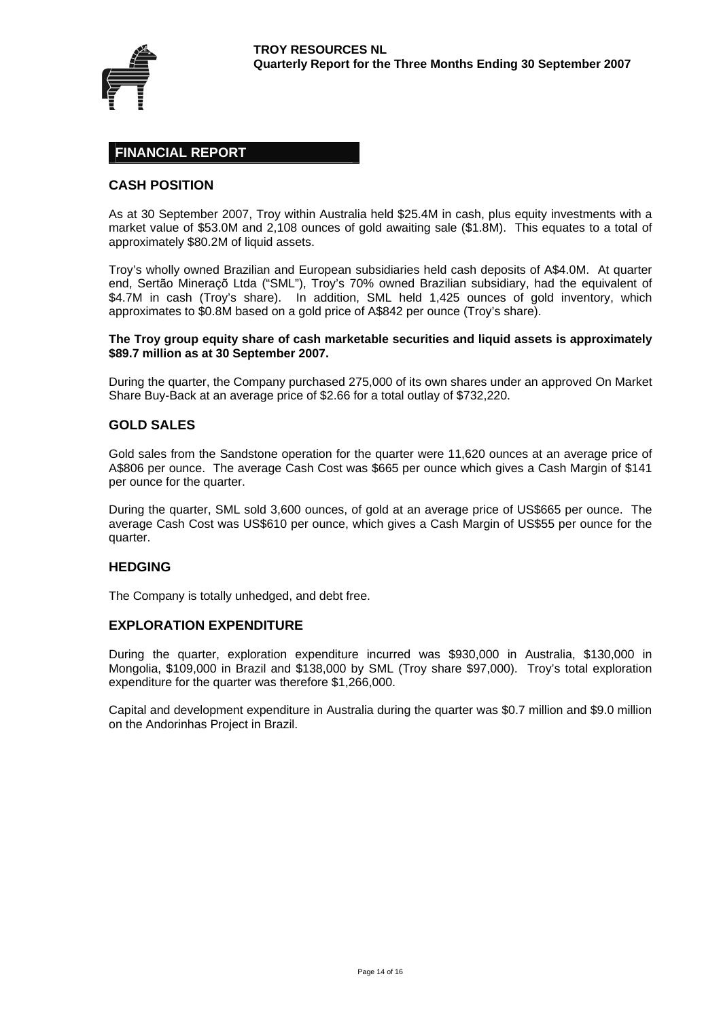

# **FINANCIAL REPORT**

# **CASH POSITION**

As at 30 September 2007, Troy within Australia held \$25.4M in cash, plus equity investments with a market value of \$53.0M and 2,108 ounces of gold awaiting sale (\$1.8M). This equates to a total of approximately \$80.2M of liquid assets.

Troy's wholly owned Brazilian and European subsidiaries held cash deposits of A\$4.0M. At quarter end, Sertão Mineraçõ Ltda ("SML"), Troy's 70% owned Brazilian subsidiary, had the equivalent of \$4.7M in cash (Troy's share). In addition, SML held 1,425 ounces of gold inventory, which approximates to \$0.8M based on a gold price of A\$842 per ounce (Troy's share).

#### **The Troy group equity share of cash marketable securities and liquid assets is approximately \$89.7 million as at 30 September 2007.**

During the quarter, the Company purchased 275,000 of its own shares under an approved On Market Share Buy-Back at an average price of \$2.66 for a total outlay of \$732,220.

#### **GOLD SALES**

Gold sales from the Sandstone operation for the quarter were 11,620 ounces at an average price of A\$806 per ounce. The average Cash Cost was \$665 per ounce which gives a Cash Margin of \$141 per ounce for the quarter.

During the quarter, SML sold 3,600 ounces, of gold at an average price of US\$665 per ounce. The average Cash Cost was US\$610 per ounce, which gives a Cash Margin of US\$55 per ounce for the quarter.

#### **HEDGING**

The Company is totally unhedged, and debt free.

#### **EXPLORATION EXPENDITURE**

During the quarter, exploration expenditure incurred was \$930,000 in Australia, \$130,000 in Mongolia, \$109,000 in Brazil and \$138,000 by SML (Troy share \$97,000). Troy's total exploration expenditure for the quarter was therefore \$1,266,000.

Capital and development expenditure in Australia during the quarter was \$0.7 million and \$9.0 million on the Andorinhas Project in Brazil.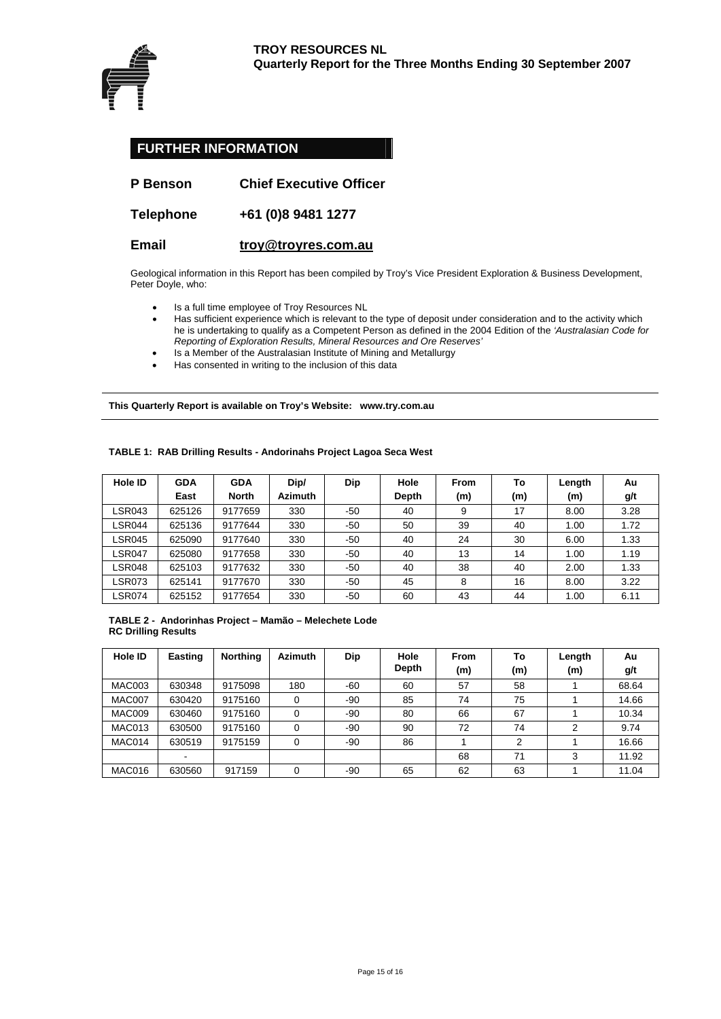

| <b>FURTHER INFORMATION</b> |                                |  |  |  |  |  |
|----------------------------|--------------------------------|--|--|--|--|--|
| <b>P</b> Benson            | <b>Chief Executive Officer</b> |  |  |  |  |  |
| <b>Telephone</b>           | +61 (0)8 9481 1277             |  |  |  |  |  |

#### **Email [troy@troyres.com.au](mailto:troy@troyres.com.au)**

Geological information in this Report has been compiled by Troy's Vice President Exploration & Business Development, Peter Doyle, who:

- Is a full time employee of Troy Resources NL
- Has sufficient experience which is relevant to the type of deposit under consideration and to the activity which he is undertaking to qualify as a Competent Person as defined in the 2004 Edition of the *'Australasian Code for Reporting of Exploration Results, Mineral Resources and Ore Reserves'*
- Is a Member of the Australasian Institute of Mining and Metallurgy
- Has consented in writing to the inclusion of this data

**This Quarterly Report is available on Troy's Website: www.try.com.au** 

| Hole ID       | <b>GDA</b> | <b>GDA</b>   | Dip/           | Dip | Hole  | <b>From</b> | To  | Length | Au   |
|---------------|------------|--------------|----------------|-----|-------|-------------|-----|--------|------|
|               | East       | <b>North</b> | <b>Azimuth</b> |     | Depth | (m)         | (m) | (m)    | g/t  |
| <b>LSR043</b> | 625126     | 9177659      | 330            | -50 | 40    | 9           | 17  | 8.00   | 3.28 |
| LSR044        | 625136     | 9177644      | 330            | -50 | 50    | 39          | 40  | 1.00   | 1.72 |
| LSR045        | 625090     | 9177640      | 330            | -50 | 40    | 24          | 30  | 6.00   | 1.33 |
| LSR047        | 625080     | 9177658      | 330            | -50 | 40    | 13          | 14  | 1.00   | 1.19 |
| <b>LSR048</b> | 625103     | 9177632      | 330            | -50 | 40    | 38          | 40  | 2.00   | 1.33 |
| <b>LSR073</b> | 625141     | 9177670      | 330            | -50 | 45    | 8           | 16  | 8.00   | 3.22 |
| ∟SR074        | 625152     | 9177654      | 330            | -50 | 60    | 43          | 44  | 1.00   | 6.11 |

#### **TABLE 1: RAB Drilling Results - Andorinahs Project Lagoa Seca West**

**TABLE 2 - Andorinhas Project – Mamão – Melechete Lode RC Drilling Results** 

| Hole ID       | <b>Easting</b> | <b>Northing</b> | <b>Azimuth</b> | Dip | Hole<br>Depth | <b>From</b><br>(m) | To<br>(m)      | Length<br>(m) | Au<br>g/t |
|---------------|----------------|-----------------|----------------|-----|---------------|--------------------|----------------|---------------|-----------|
| <b>MAC003</b> | 630348         | 9175098         | 180            | -60 | 60            | 57                 | 58             |               | 68.64     |
| MAC007        | 630420         | 9175160         | 0              | -90 | 85            | 74                 | 75             |               | 14.66     |
| MAC009        | 630460         | 9175160         | 0              | -90 | 80            | 66                 | 67             |               | 10.34     |
| MAC013        | 630500         | 9175160         | 0              | -90 | 90            | 72                 | 74             | 2             | 9.74      |
| MAC014        | 630519         | 9175159         | 0              | -90 | 86            |                    | $\overline{2}$ |               | 16.66     |
|               |                |                 |                |     |               | 68                 | 71             | 3             | 11.92     |
| MAC016        | 630560         | 917159          | 0              | -90 | 65            | 62                 | 63             |               | 11.04     |